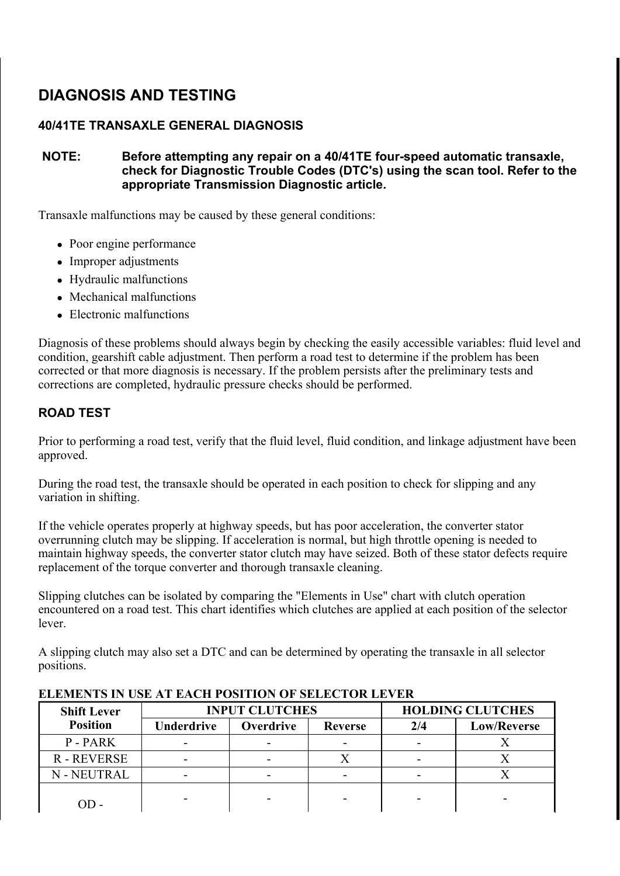# DIAGNOSIS AND TESTING

# 40/41TE TRANSAXLE GENERAL DIAGNOSIS

## NOTE: Before attempting any repair on a 40/41TE four-speed automatic transaxle, check for Diagnostic Trouble Codes (DTC's) using the scan tool. Refer to the appropriate Transmission Diagnostic article.

Transaxle malfunctions may be caused by these general conditions:

- Poor engine performance
- Improper adjustments
- Hydraulic malfunctions
- Mechanical malfunctions
- Electronic malfunctions

Diagnosis of these problems should always begin by checking the easily accessible variables: fluid level and condition, gearshift cable adjustment. Then perform a road test to determine if the problem has been corrected or that more diagnosis is necessary. If the problem persists after the preliminary tests and corrections are completed, hydraulic pressure checks should be performed.

# ROAD TEST

Prior to performing a road test, verify that the fluid level, fluid condition, and linkage adjustment have been approved.

During the road test, the transaxle should be operated in each position to check for slipping and any variation in shifting.

If the vehicle operates properly at highway speeds, but has poor acceleration, the converter stator overrunning clutch may be slipping. If acceleration is normal, but high throttle opening is needed to maintain highway speeds, the converter stator clutch may have seized. Both of these stator defects require replacement of the torque converter and thorough transaxle cleaning.

Slipping clutches can be isolated by comparing the "Elements in Use" chart with clutch operation encountered on a road test. This chart identifies which clutches are applied at each position of the selector lever.

A slipping clutch may also set a DTC and can be determined by operating the transaxle in all selector positions.

| <b>Shift Lever</b> |                                                         | <b>INPUT CLUTCHES</b>    | <b>HOLDING CLUTCHES</b> |     |                    |
|--------------------|---------------------------------------------------------|--------------------------|-------------------------|-----|--------------------|
| <b>Position</b>    | <b>Underdrive</b><br><b>Overdrive</b><br><b>Reverse</b> |                          |                         | 2/4 | <b>Low/Reverse</b> |
| P-PARK             |                                                         |                          |                         |     |                    |
| R-REVERSE          | -                                                       |                          |                         |     |                    |
| N - NEUTRAL        | -                                                       | $\overline{\phantom{a}}$ | ۰                       |     |                    |
|                    |                                                         |                          |                         |     |                    |

## ELEMENTS IN USE AT EACH POSITION OF SELECTOR LEVER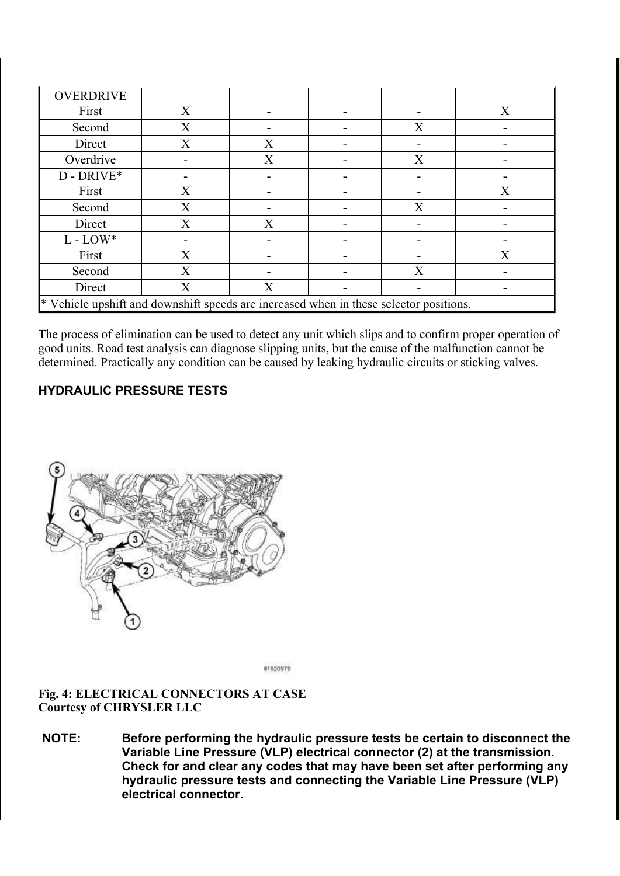| <b>OVERDRIVE</b>                                                                       |   |   |  |   |   |
|----------------------------------------------------------------------------------------|---|---|--|---|---|
| First                                                                                  | X |   |  |   | X |
| Second                                                                                 | X |   |  | X |   |
| Direct                                                                                 | X | X |  |   |   |
| Overdrive                                                                              |   | X |  | X |   |
| $D$ - DRIVE*                                                                           |   |   |  |   |   |
| First                                                                                  | X |   |  |   | X |
| Second                                                                                 | X |   |  | X |   |
| Direct                                                                                 | X | X |  |   |   |
| $L$ - $LOW*$                                                                           |   |   |  |   |   |
| First                                                                                  | X |   |  |   | X |
| Second                                                                                 | X |   |  | X |   |
| Direct                                                                                 | X | X |  |   |   |
| * Vehicle upshift and downshift speeds are increased when in these selector positions. |   |   |  |   |   |

The process of elimination can be used to detect any unit which slips and to confirm proper operation of good units. Road test analysis can diagnose slipping units, but the cause of the malfunction cannot be determined. Practically any condition can be caused by leaking hydraulic circuits or sticking valves.

# HYDRAULIC PRESSURE TESTS



81920979

#### Fig. 4: ELECTRICAL CONNECTORS AT CASE Courtesy of CHRYSLER LLC

NOTE: Before performing the hydraulic pressure tests be certain to disconnect the Variable Line Pressure (VLP) electrical connector (2) at the transmission. Check for and clear any codes that may have been set after performing any hydraulic pressure tests and connecting the Variable Line Pressure (VLP) electrical connector.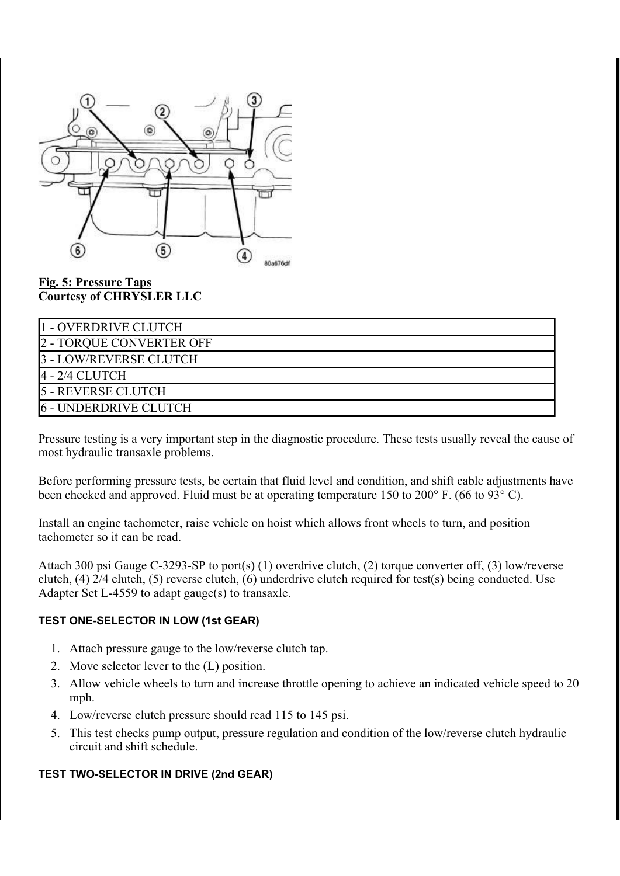

#### Fig. 5: Pressure Taps Courtesy of CHRYSLER LLC

| 11 - OVERDRIVE CLUTCH    |
|--------------------------|
| 2 - TORQUE CONVERTER OFF |
| 3 - LOW/REVERSE CLUTCH   |
| 4 - 2/4 CLUTCH           |
| 5 - REVERSE CLUTCH       |
| 6 - UNDERDRIVE CLUTCH    |

Pressure testing is a very important step in the diagnostic procedure. These tests usually reveal the cause of most hydraulic transaxle problems.

Before performing pressure tests, be certain that fluid level and condition, and shift cable adjustments have been checked and approved. Fluid must be at operating temperature 150 to 200° F. (66 to 93° C).

Install an engine tachometer, raise vehicle on hoist which allows front wheels to turn, and position tachometer so it can be read.

Attach 300 psi Gauge C-3293-SP to port(s) (1) overdrive clutch, (2) torque converter off, (3) low/reverse clutch, (4) 2/4 clutch, (5) reverse clutch, (6) underdrive clutch required for test(s) being conducted. Use Adapter Set L-4559 to adapt gauge(s) to transaxle.

#### TEST ONE-SELECTOR IN LOW (1st GEAR)

- 1. Attach pressure gauge to the low/reverse clutch tap.
- 2. Move selector lever to the (L) position.
- 3. Allow vehicle wheels to turn and increase throttle opening to achieve an indicated vehicle speed to 20 mph.
- 4. Low/reverse clutch pressure should read 115 to 145 psi.
- 5. This test checks pump output, pressure regulation and condition of the low/reverse clutch hydraulic circuit and shift schedule.

#### TEST TWO-SELECTOR IN DRIVE (2nd GEAR)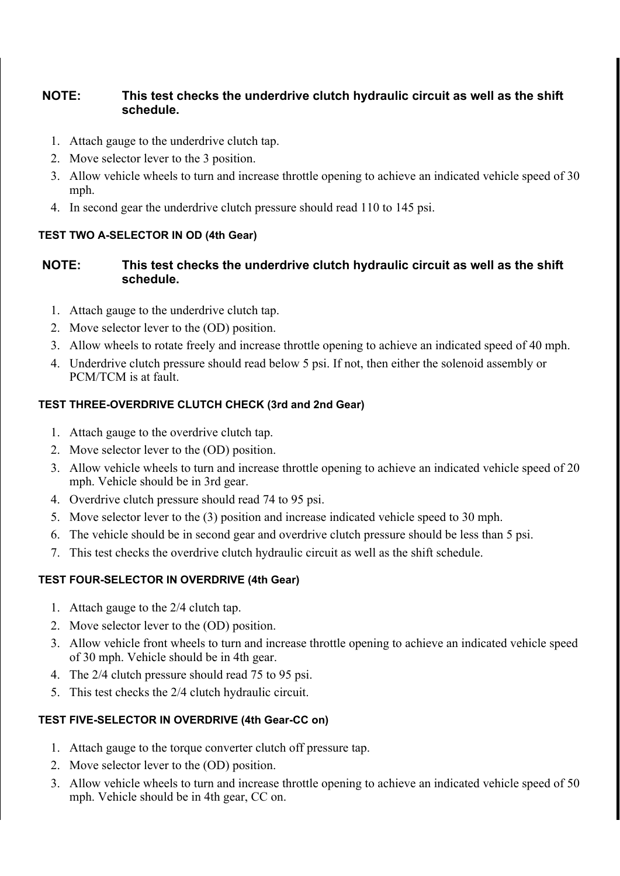## NOTE: This test checks the underdrive clutch hydraulic circuit as well as the shift schedule.

- 1. Attach gauge to the underdrive clutch tap.
- 2. Move selector lever to the 3 position.
- 3. Allow vehicle wheels to turn and increase throttle opening to achieve an indicated vehicle speed of 30 mph.
- 4. In second gear the underdrive clutch pressure should read 110 to 145 psi.

## TEST TWO A-SELECTOR IN OD (4th Gear)

# NOTE: This test checks the underdrive clutch hydraulic circuit as well as the shift schedule.

- 1. Attach gauge to the underdrive clutch tap.
- 2. Move selector lever to the (OD) position.
- 3. Allow wheels to rotate freely and increase throttle opening to achieve an indicated speed of 40 mph.
- 4. Underdrive clutch pressure should read below 5 psi. If not, then either the solenoid assembly or PCM/TCM is at fault.

# TEST THREE-OVERDRIVE CLUTCH CHECK (3rd and 2nd Gear)

- 1. Attach gauge to the overdrive clutch tap.
- 2. Move selector lever to the (OD) position.
- 3. Allow vehicle wheels to turn and increase throttle opening to achieve an indicated vehicle speed of 20 mph. Vehicle should be in 3rd gear.
- 4. Overdrive clutch pressure should read 74 to 95 psi.
- 5. Move selector lever to the (3) position and increase indicated vehicle speed to 30 mph.
- 6. The vehicle should be in second gear and overdrive clutch pressure should be less than 5 psi.
- 7. This test checks the overdrive clutch hydraulic circuit as well as the shift schedule.

# TEST FOUR-SELECTOR IN OVERDRIVE (4th Gear)

- 1. Attach gauge to the 2/4 clutch tap.
- 2. Move selector lever to the (OD) position.
- 3. Allow vehicle front wheels to turn and increase throttle opening to achieve an indicated vehicle speed of 30 mph. Vehicle should be in 4th gear.
- 4. The 2/4 clutch pressure should read 75 to 95 psi.
- 5. This test checks the 2/4 clutch hydraulic circuit.

# TEST FIVE-SELECTOR IN OVERDRIVE (4th Gear-CC on)

- 1. Attach gauge to the torque converter clutch off pressure tap.
- 2. Move selector lever to the (OD) position.
- 3. Allow vehicle wheels to turn and increase throttle opening to achieve an indicated vehicle speed of 50 mph. Vehicle should be in 4th gear, CC on.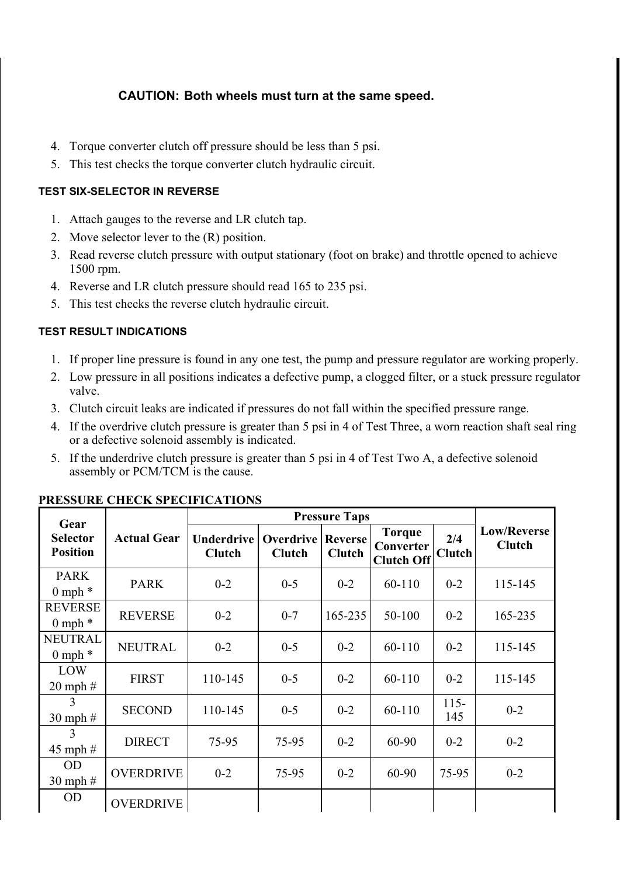- 4. Torque converter clutch off pressure should be less than 5 psi.
- 5. This test checks the torque converter clutch hydraulic circuit.

## TEST SIX-SELECTOR IN REVERSE

- 1. Attach gauges to the reverse and LR clutch tap.
- 2. Move selector lever to the (R) position.
- 3. Read reverse clutch pressure with output stationary (foot on brake) and throttle opened to achieve 1500 rpm.
- 4. Reverse and LR clutch pressure should read 165 to 235 psi.
- 5. This test checks the reverse clutch hydraulic circuit.

# TEST RESULT INDICATIONS

- 1. If proper line pressure is found in any one test, the pump and pressure regulator are working properly.
- 2. Low pressure in all positions indicates a defective pump, a clogged filter, or a stuck pressure regulator valve.
- 3. Clutch circuit leaks are indicated if pressures do not fall within the specified pressure range.
- 4. If the overdrive clutch pressure is greater than 5 psi in 4 of Test Three, a worn reaction shaft seal ring or a defective solenoid assembly is indicated.
- 5. If the underdrive clutch pressure is greater than 5 psi in 4 of Test Two A, a defective solenoid assembly or PCM/TCM is the cause.

|                                            |                    |                                    |                                   | <b>Pressure Taps</b>            |                                                 |                      |                              |
|--------------------------------------------|--------------------|------------------------------------|-----------------------------------|---------------------------------|-------------------------------------------------|----------------------|------------------------------|
| Gear<br><b>Selector</b><br><b>Position</b> | <b>Actual Gear</b> | <b>Underdrive</b><br><b>Clutch</b> | <b>Overdrive</b><br><b>Clutch</b> | <b>Reverse</b><br><b>Clutch</b> | <b>Torque</b><br>Converter<br><b>Clutch Off</b> | 2/4<br><b>Clutch</b> | Low/Reverse<br><b>Clutch</b> |
| <b>PARK</b><br>$0$ mph $*$                 | <b>PARK</b>        | $0 - 2$                            | $0 - 5$                           | $0 - 2$                         | 60-110                                          | $0 - 2$              | 115-145                      |
| <b>REVERSE</b><br>$0$ mph $*$              | <b>REVERSE</b>     | $0 - 2$                            | $0 - 7$                           | 165-235                         | 50-100                                          | $0 - 2$              | 165-235                      |
| <b>NEUTRAL</b><br>$0$ mph $*$              | <b>NEUTRAL</b>     | $0 - 2$                            | $0 - 5$                           | $0 - 2$                         | 60-110                                          | $0 - 2$              | 115-145                      |
| LOW<br>$20$ mph $#$                        | <b>FIRST</b>       | 110-145                            | $0 - 5$                           | $0 - 2$                         | 60-110                                          | $0 - 2$              | 115-145                      |
| 3<br>$30$ mph $#$                          | <b>SECOND</b>      | 110-145                            | $0 - 5$                           | $0 - 2$                         | 60-110                                          | $115 -$<br>145       | $0 - 2$                      |
| 3<br>$45$ mph $#$                          | <b>DIRECT</b>      | 75-95                              | 75-95                             | $0 - 2$                         | 60-90                                           | $0 - 2$              | $0 - 2$                      |
| <b>OD</b><br>$30$ mph $#$                  | <b>OVERDRIVE</b>   | $0 - 2$                            | 75-95                             | $0 - 2$                         | 60-90                                           | 75-95                | $0 - 2$                      |
| <b>OD</b>                                  | <b>OVERDRIVE</b>   |                                    |                                   |                                 |                                                 |                      |                              |

## PRESSURE CHECK SPECIFICATIONS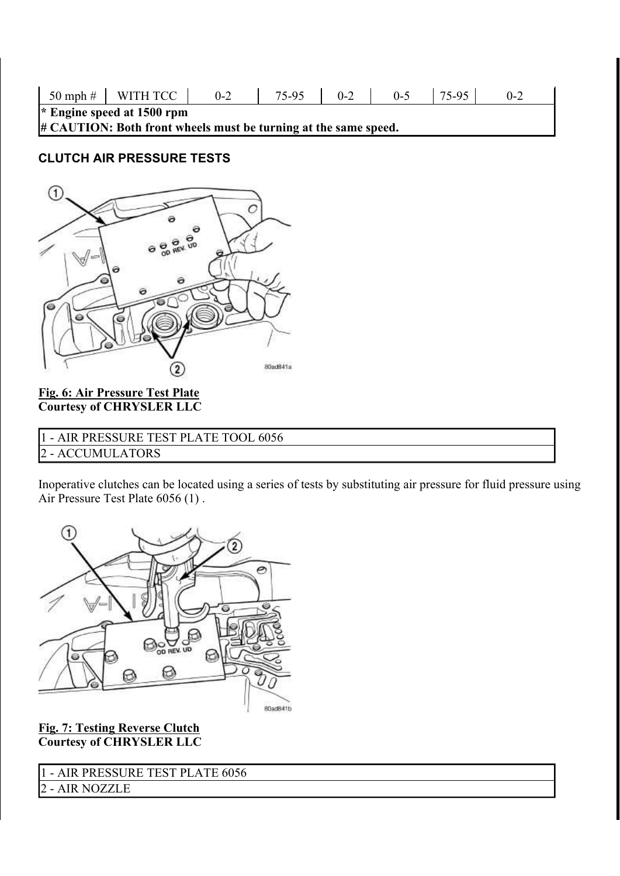| $50$ mph $\#$ WITH TCC                                          | $0 - 2$ | 75-95 | $0 - 2$ | $0 - 5$ | 75-95 | 0-2 |
|-----------------------------------------------------------------|---------|-------|---------|---------|-------|-----|
| * Engine speed at 1500 rpm                                      |         |       |         |         |       |     |
| # CAUTION: Both front wheels must be turning at the same speed. |         |       |         |         |       |     |

# CLUTCH AIR PRESSURE TESTS



## Fig. 6: Air Pressure Test Plate Courtesy of CHRYSLER LLC

| 1 - AIR PRESSURE TEST PLATE TOOL 6056 |
|---------------------------------------|
| 2 - ACCUMULATORS                      |
|                                       |

Inoperative clutches can be located using a series of tests by substituting air pressure for fluid pressure using Air Pressure Test Plate 6056 (1) .



Fig. 7: Testing Reverse Clutch Courtesy of CHRYSLER LLC

- AIR PRESSURE TEST PLATE 6056

- AIR NOZZLE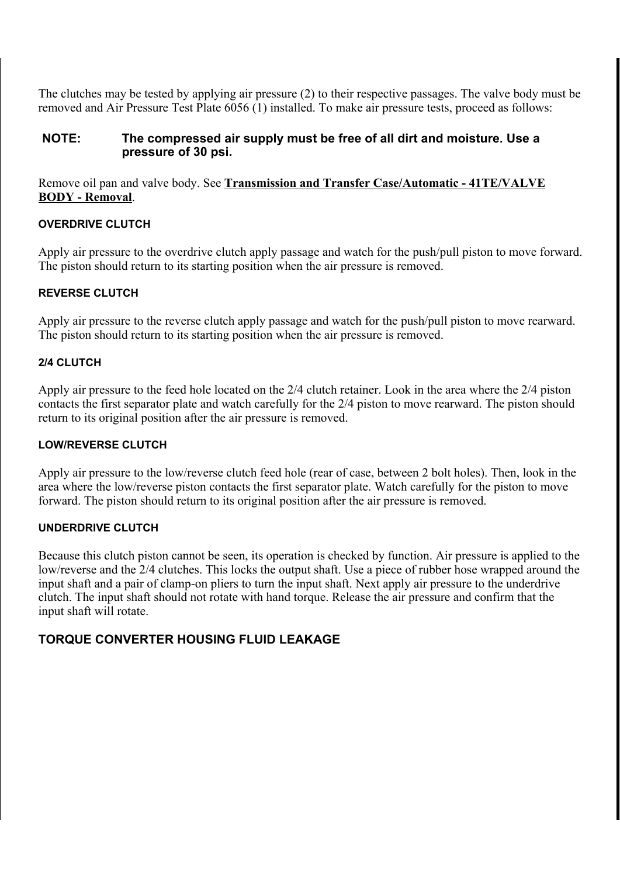The clutches may be tested by applying air pressure (2) to their respective passages. The valve body must be removed and Air Pressure Test Plate 6056 (1) installed. To make air pressure tests, proceed as follows:

#### NOTE: The compressed air supply must be free of all dirt and moisture. Use a pressure of 30 psi.

Remove oil pan and valve body. See Transmission and Transfer Case/Automatic - 41TE/VALVE BODY - Removal.

#### OVERDRIVE CLUTCH

Apply air pressure to the overdrive clutch apply passage and watch for the push/pull piston to move forward. The piston should return to its starting position when the air pressure is removed.

#### REVERSE CLUTCH

Apply air pressure to the reverse clutch apply passage and watch for the push/pull piston to move rearward. The piston should return to its starting position when the air pressure is removed.

#### 2/4 CLUTCH

Apply air pressure to the feed hole located on the 2/4 clutch retainer. Look in the area where the 2/4 piston contacts the first separator plate and watch carefully for the 2/4 piston to move rearward. The piston should return to its original position after the air pressure is removed.

#### LOW/REVERSE CLUTCH

Apply air pressure to the low/reverse clutch feed hole (rear of case, between 2 bolt holes). Then, look in the area where the low/reverse piston contacts the first separator plate. Watch carefully for the piston to move forward. The piston should return to its original position after the air pressure is removed.

#### UNDERDRIVE CLUTCH

Because this clutch piston cannot be seen, its operation is checked by function. Air pressure is applied to the low/reverse and the 2/4 clutches. This locks the output shaft. Use a piece of rubber hose wrapped around the input shaft and a pair of clamp-on pliers to turn the input shaft. Next apply air pressure to the underdrive clutch. The input shaft should not rotate with hand torque. Release the air pressure and confirm that the input shaft will rotate.

## TORQUE CONVERTER HOUSING FLUID LEAKAGE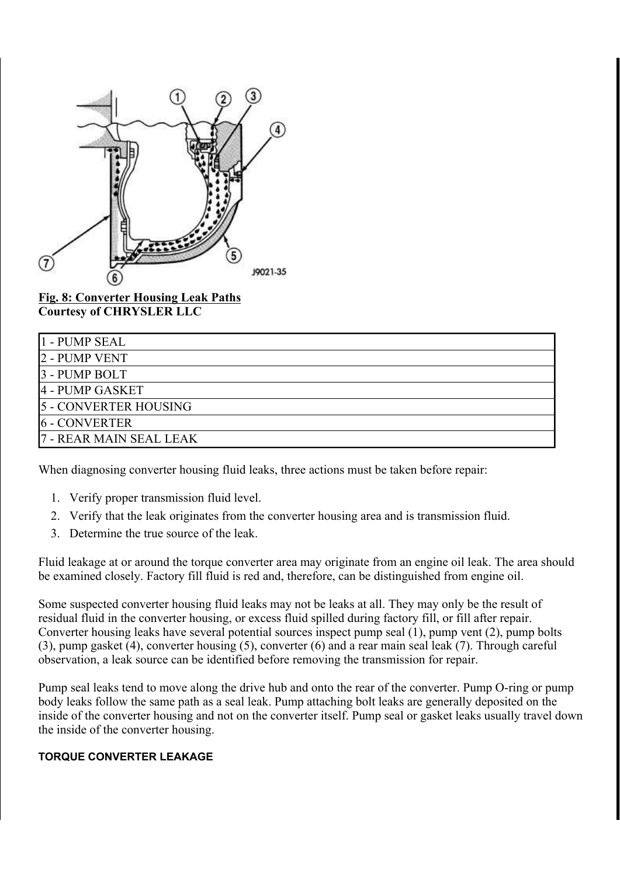

Fig. 8: Converter Housing Leak Paths Courtesy of CHRYSLER LLC

| 1 - PUMP SEAL                |
|------------------------------|
| 2 - PUMP VENT                |
| 3 - PUMP BOLT                |
| 4 - PUMP GASKET              |
| <b>5 - CONVERTER HOUSING</b> |
| <b>6 - CONVERTER</b>         |
| 7 - REAR MAIN SEAL LEAK      |

When diagnosing converter housing fluid leaks, three actions must be taken before repair:

- 1. Verify proper transmission fluid level.
- 2. Verify that the leak originates from the converter housing area and is transmission fluid.
- 3. Determine the true source of the leak.

Fluid leakage at or around the torque converter area may originate from an engine oil leak. The area should be examined closely. Factory fill fluid is red and, therefore, can be distinguished from engine oil.

Some suspected converter housing fluid leaks may not be leaks at all. They may only be the result of residual fluid in the converter housing, or excess fluid spilled during factory fill, or fill after repair. Converter housing leaks have several potential sources inspect pump seal (1), pump vent (2), pump bolts (3), pump gasket (4), converter housing (5), converter (6) and a rear main seal leak (7). Through careful observation, a leak source can be identified before removing the transmission for repair.

Pump seal leaks tend to move along the drive hub and onto the rear of the converter. Pump O-ring or pump body leaks follow the same path as a seal leak. Pump attaching bolt leaks are generally deposited on the inside of the converter housing and not on the converter itself. Pump seal or gasket leaks usually travel down the inside of the converter housing.

#### TORQUE CONVERTER LEAKAGE